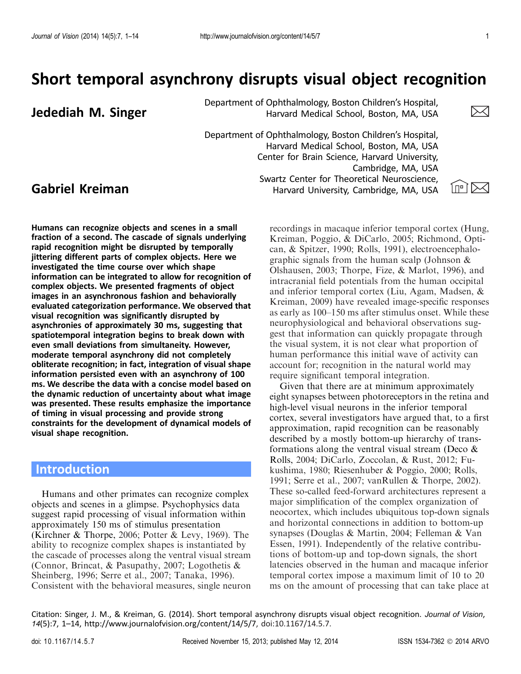# Short temporal asynchrony disrupts visual object recognition

Department of Ophthalmology, Boston Children's Hospital,<br>Harvard Medical School, Boston, MA, USA Harvard Medical School, Boston, MA, USA

Swartz Center for Theoretical Neuroscience,<br>Harvard University, Cambridge, MA, USA In New York Department of Ophthalmology, Boston Children's Hospital, Harvard Medical School, Boston, MA, USA Center for Brain Science, Harvard University, Cambridge, MA, USA Swartz Center for Theoretical Neuroscience,



Humans can recognize objects and scenes in a small fraction of a second. The cascade of signals underlying rapid recognition might be disrupted by temporally jittering different parts of complex objects. Here we investigated the time course over which shape information can be integrated to allow for recognition of complex objects. We presented fragments of object images in an asynchronous fashion and behaviorally evaluated categorization performance. We observed that visual recognition was significantly disrupted by asynchronies of approximately 30 ms, suggesting that spatiotemporal integration begins to break down with even small deviations from simultaneity. However, moderate temporal asynchrony did not completely obliterate recognition; in fact, integration of visual shape information persisted even with an asynchrony of 100 ms. We describe the data with a concise model based on the dynamic reduction of uncertainty about what image was presented. These results emphasize the importance of timing in visual processing and provide strong constraints for the development of dynamical models of visual shape recognition.

## Introduction

Humans and other primates can recognize complex objects and scenes in a glimpse. Psychophysics data suggest rapid processing of visual information within approximately 150 ms of stimulus presentation (Kirchner & Thorpe, [2006](#page-12-0); Potter & Levy, [1969](#page-12-0)). The ability to recognize complex shapes is instantiated by the cascade of processes along the ventral visual stream (Connor, Brincat, & Pasupathy, [2007](#page-11-0); Logothetis & Sheinberg, [1996;](#page-12-0) Serre et al., [2007](#page-13-0); Tanaka, [1996](#page-13-0)). Consistent with the behavioral measures, single neuron

recordings in macaque inferior temporal cortex (Hung, Kreiman, Poggio, & DiCarlo, [2005](#page-12-0); Richmond, Optican, & Spitzer, [1990;](#page-12-0) Rolls, [1991\)](#page-13-0), electroencephalographic signals from the human scalp (Johnson & Olshausen, [2003;](#page-12-0) Thorpe, Fize, & Marlot, [1996\)](#page-13-0), and intracranial field potentials from the human occipital and inferior temporal cortex (Liu, Agam, Madsen, & Kreiman, [2009\)](#page-12-0) have revealed image-specific responses as early as 100–150 ms after stimulus onset. While these neurophysiological and behavioral observations suggest that information can quickly propagate through the visual system, it is not clear what proportion of human performance this initial wave of activity can account for; recognition in the natural world may require significant temporal integration.

Given that there are at minimum approximately eight synapses between photoreceptors in the retina and high-level visual neurons in the inferior temporal cortex, several investigators have argued that, to a first approximation, rapid recognition can be reasonably described by a mostly bottom-up hierarchy of transformations along the ventral visual stream (Deco  $\&$ Rolls, [2004](#page-11-0); DiCarlo, Zoccolan, & Rust, [2012;](#page-12-0) Fukushima, [1980](#page-12-0); Riesenhuber & Poggio, [2000](#page-13-0); Rolls, [1991;](#page-13-0) Serre et al., [2007](#page-13-0); vanRullen & Thorpe, [2002\)](#page-13-0). These so-called feed-forward architectures represent a major simplification of the complex organization of neocortex, which includes ubiquitous top-down signals and horizontal connections in addition to bottom-up synapses (Douglas & Martin, [2004](#page-12-0); Felleman & Van Essen, [1991](#page-12-0)). Independently of the relative contributions of bottom-up and top-down signals, the short latencies observed in the human and macaque inferior temporal cortex impose a maximum limit of 10 to 20 ms on the amount of processing that can take place at

Citation: Singer, J. M., & Kreiman, G. (2014). Short temporal asynchrony disrupts visual object recognition. Journal of Vision, 14(5):7, 1–14, http://www.journalofvision.org/content/14/5/7, doi:10.1167/14.5.7.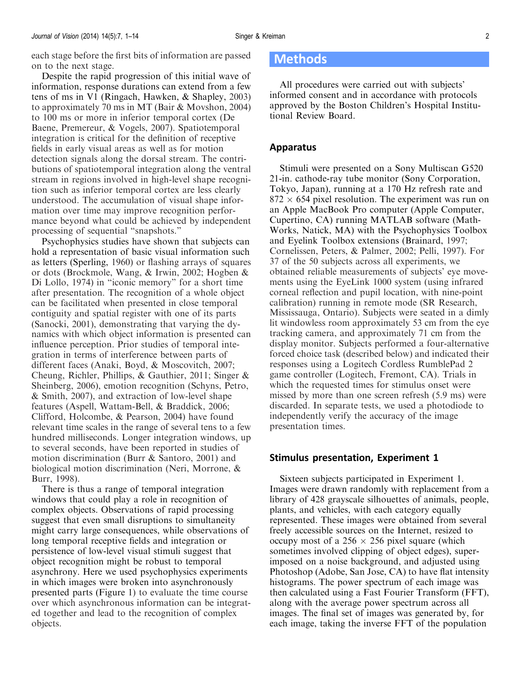<span id="page-1-0"></span>each stage before the first bits of information are passed on to the next stage.

Despite the rapid progression of this initial wave of information, response durations can extend from a few tens of ms in V1 (Ringach, Hawken, & Shapley, [2003](#page-13-0)) to approximately 70 ms in MT (Bair & Movshon, [2004](#page-11-0)) to 100 ms or more in inferior temporal cortex (De Baene, Premereur, & Vogels, [2007](#page-11-0)). Spatiotemporal integration is critical for the definition of receptive fields in early visual areas as well as for motion detection signals along the dorsal stream. The contributions of spatiotemporal integration along the ventral stream in regions involved in high-level shape recognition such as inferior temporal cortex are less clearly understood. The accumulation of visual shape information over time may improve recognition performance beyond what could be achieved by independent processing of sequential ''snapshots.''

Psychophysics studies have shown that subjects can hold a representation of basic visual information such as letters (Sperling, [1960\)](#page-13-0) or flashing arrays of squares or dots (Brockmole, Wang, & Irwin, [2002](#page-11-0); Hogben & Di Lollo, [1974](#page-12-0)) in ''iconic memory'' for a short time after presentation. The recognition of a whole object can be facilitated when presented in close temporal contiguity and spatial register with one of its parts (Sanocki, [2001\)](#page-13-0), demonstrating that varying the dynamics with which object information is presented can influence perception. Prior studies of temporal integration in terms of interference between parts of different faces (Anaki, Boyd, & Moscovitch, [2007](#page-11-0); Cheung, Richler, Phillips, & Gauthier, [2011;](#page-11-0) Singer & Sheinberg, [2006\)](#page-13-0), emotion recognition (Schyns, Petro, & Smith, [2007](#page-13-0)), and extraction of low-level shape features (Aspell, Wattam-Bell, & Braddick, [2006](#page-11-0); Clifford, Holcombe, & Pearson, [2004](#page-11-0)) have found relevant time scales in the range of several tens to a few hundred milliseconds. Longer integration windows, up to several seconds, have been reported in studies of motion discrimination (Burr & Santoro, [2001\)](#page-11-0) and biological motion discrimination (Neri, Morrone, & Burr, [1998](#page-12-0)).

There is thus a range of temporal integration windows that could play a role in recognition of complex objects. Observations of rapid processing suggest that even small disruptions to simultaneity might carry large consequences, while observations of long temporal receptive fields and integration or persistence of low-level visual stimuli suggest that object recognition might be robust to temporal asynchrony. Here we used psychophysics experiments in which images were broken into asynchronously presented parts [\(Figure 1](#page-2-0)) to evaluate the time course over which asynchronous information can be integrated together and lead to the recognition of complex objects.

### Methods

All procedures were carried out with subjects' informed consent and in accordance with protocols approved by the Boston Children's Hospital Institutional Review Board.

#### Apparatus

Stimuli were presented on a Sony Multiscan G520 21-in. cathode-ray tube monitor (Sony Corporation, Tokyo, Japan), running at a 170 Hz refresh rate and  $872 \times 654$  pixel resolution. The experiment was run on an Apple MacBook Pro computer (Apple Computer, Cupertino, CA) running MATLAB software (Math-Works, Natick, MA) with the Psychophysics Toolbox and Eyelink Toolbox extensions (Brainard, [1997;](#page-11-0) Cornelissen, Peters, & Palmer, [2002](#page-11-0); Pelli, [1997\)](#page-12-0). For 37 of the 50 subjects across all experiments, we obtained reliable measurements of subjects' eye movements using the EyeLink 1000 system (using infrared corneal reflection and pupil location, with nine-point calibration) running in remote mode (SR Research, Mississauga, Ontario). Subjects were seated in a dimly lit windowless room approximately 53 cm from the eye tracking camera, and approximately 71 cm from the display monitor. Subjects performed a four-alternative forced choice task (described below) and indicated their responses using a Logitech Cordless RumblePad 2 game controller (Logitech, Fremont, CA). Trials in which the requested times for stimulus onset were missed by more than one screen refresh (5.9 ms) were discarded. In separate tests, we used a photodiode to independently verify the accuracy of the image presentation times.

#### Stimulus presentation, Experiment 1

Sixteen subjects participated in Experiment 1. Images were drawn randomly with replacement from a library of 428 grayscale silhouettes of animals, people, plants, and vehicles, with each category equally represented. These images were obtained from several freely accessible sources on the Internet, resized to occupy most of a  $256 \times 256$  pixel square (which sometimes involved clipping of object edges), superimposed on a noise background, and adjusted using Photoshop (Adobe, San Jose, CA) to have flat intensity histograms. The power spectrum of each image was then calculated using a Fast Fourier Transform (FFT), along with the average power spectrum across all images. The final set of images was generated by, for each image, taking the inverse FFT of the population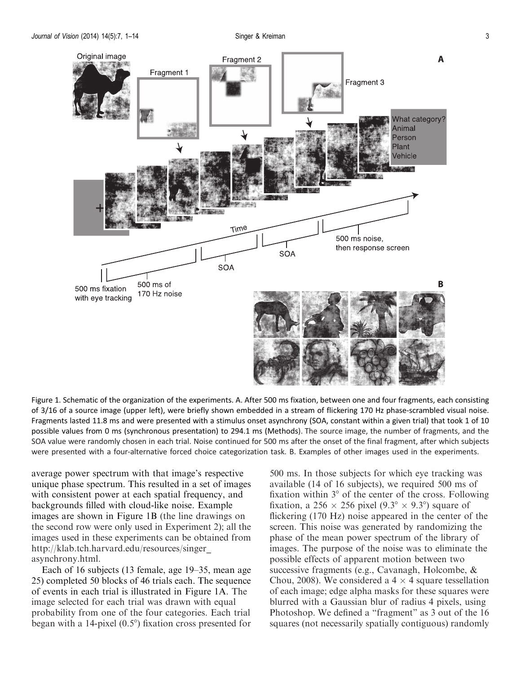<span id="page-2-0"></span>

Figure 1. Schematic of the organization of the experiments. A. After 500 ms fixation, between one and four fragments, each consisting of 3/16 of a source image (upper left), were briefly shown embedded in a stream of flickering 170 Hz phase-scrambled visual noise. Fragments lasted 11.8 ms and were presented with a stimulus onset asynchrony (SOA, constant within a given trial) that took 1 of 10 possible values from 0 ms (synchronous presentation) to 294.1 ms [\(Methods\)](#page-1-0). The source image, the number of fragments, and the SOA value were randomly chosen in each trial. Noise continued for 500 ms after the onset of the final fragment, after which subjects were presented with a four-alternative forced choice categorization task. B. Examples of other images used in the experiments.

average power spectrum with that image's respective unique phase spectrum. This resulted in a set of images with consistent power at each spatial frequency, and backgrounds filled with cloud-like noise. Example images are shown in Figure 1B (the line drawings on the second row were only used in Experiment 2); all the images used in these experiments can be obtained from [http://klab.tch.harvard.edu/resources/singer\\_](http://klab.tch.harvard.edu/resources/singer_asynchrony.html) [asynchrony.html](http://klab.tch.harvard.edu/resources/singer_asynchrony.html).

Each of 16 subjects (13 female, age 19–35, mean age 25) completed 50 blocks of 46 trials each. The sequence of events in each trial is illustrated in Figure 1A. The image selected for each trial was drawn with equal probability from one of the four categories. Each trial began with a 14-pixel  $(0.5^{\circ})$  fixation cross presented for

500 ms. In those subjects for which eye tracking was available (14 of 16 subjects), we required 500 ms of fixation within  $3^\circ$  of the center of the cross. Following fixation, a 256  $\times$  256 pixel (9.3°  $\times$  9.3°) square of flickering (170 Hz) noise appeared in the center of the screen. This noise was generated by randomizing the phase of the mean power spectrum of the library of images. The purpose of the noise was to eliminate the possible effects of apparent motion between two successive fragments (e.g., Cavanagh, Holcombe, & Chou, [2008\)](#page-11-0). We considered a  $4 \times 4$  square tessellation of each image; edge alpha masks for these squares were blurred with a Gaussian blur of radius 4 pixels, using Photoshop. We defined a "fragment" as 3 out of the 16 squares (not necessarily spatially contiguous) randomly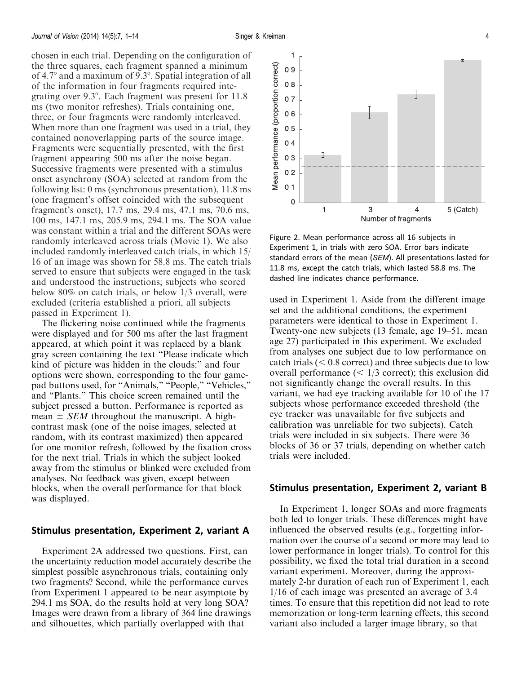<span id="page-3-0"></span>chosen in each trial. Depending on the configuration of the three squares, each fragment spanned a minimum of  $4.7^{\circ}$  and a maximum of  $9.3^{\circ}$ . Spatial integration of all of the information in four fragments required integrating over  $9.3^{\circ}$ . Each fragment was present for 11.8 ms (two monitor refreshes). Trials containing one, three, or four fragments were randomly interleaved. When more than one fragment was used in a trial, they contained nonoverlapping parts of the source image. Fragments were sequentially presented, with the first fragment appearing 500 ms after the noise began. Successive fragments were presented with a stimulus onset asynchrony (SOA) selected at random from the following list: 0 ms (synchronous presentation), 11.8 ms (one fragment's offset coincided with the subsequent fragment's onset), 17.7 ms, 29.4 ms, 47.1 ms, 70.6 ms, 100 ms, 147.1 ms, 205.9 ms, 294.1 ms. The SOA value was constant within a trial and the different SOAs were randomly interleaved across trials [\(Movie 1](http://)). We also included randomly interleaved catch trials, in which 15/ 16 of an image was shown for 58.8 ms. The catch trials served to ensure that subjects were engaged in the task and understood the instructions; subjects who scored below 80% on catch trials, or below 1/3 overall, were excluded (criteria established a priori, all subjects passed in Experiment 1).

The flickering noise continued while the fragments were displayed and for 500 ms after the last fragment appeared, at which point it was replaced by a blank gray screen containing the text ''Please indicate which kind of picture was hidden in the clouds:'' and four options were shown, corresponding to the four gamepad buttons used, for "Animals," "People," "Vehicles," and ''Plants.'' This choice screen remained until the subject pressed a button. Performance is reported as mean  $\pm$  *SEM* throughout the manuscript. A highcontrast mask (one of the noise images, selected at random, with its contrast maximized) then appeared for one monitor refresh, followed by the fixation cross for the next trial. Trials in which the subject looked away from the stimulus or blinked were excluded from analyses. No feedback was given, except between blocks, when the overall performance for that block was displayed.

### Stimulus presentation, Experiment 2, variant A

Experiment 2A addressed two questions. First, can the uncertainty reduction model accurately describe the simplest possible asynchronous trials, containing only two fragments? Second, while the performance curves from Experiment 1 appeared to be near asymptote by 294.1 ms SOA, do the results hold at very long SOA? Images were drawn from a library of 364 line drawings and silhouettes, which partially overlapped with that



Figure 2. Mean performance across all 16 subjects in Experiment 1, in trials with zero SOA. Error bars indicate standard errors of the mean (SEM). All presentations lasted for 11.8 ms, except the catch trials, which lasted 58.8 ms. The dashed line indicates chance performance.

used in Experiment 1. Aside from the different image set and the additional conditions, the experiment parameters were identical to those in Experiment 1. Twenty-one new subjects (13 female, age 19–51, mean age 27) participated in this experiment. We excluded from analyses one subject due to low performance on catch trials ( $< 0.8$  correct) and three subjects due to low overall performance  $(< 1/3$  correct); this exclusion did not significantly change the overall results. In this variant, we had eye tracking available for 10 of the 17 subjects whose performance exceeded threshold (the eye tracker was unavailable for five subjects and calibration was unreliable for two subjects). Catch trials were included in six subjects. There were 36 blocks of 36 or 37 trials, depending on whether catch trials were included.

### Stimulus presentation, Experiment 2, variant B

In Experiment 1, longer SOAs and more fragments both led to longer trials. These differences might have influenced the observed results (e.g., forgetting information over the course of a second or more may lead to lower performance in longer trials). To control for this possibility, we fixed the total trial duration in a second variant experiment. Moreover, during the approximately 2-hr duration of each run of Experiment 1, each 1/16 of each image was presented an average of 3.4 times. To ensure that this repetition did not lead to rote memorization or long-term learning effects, this second variant also included a larger image library, so that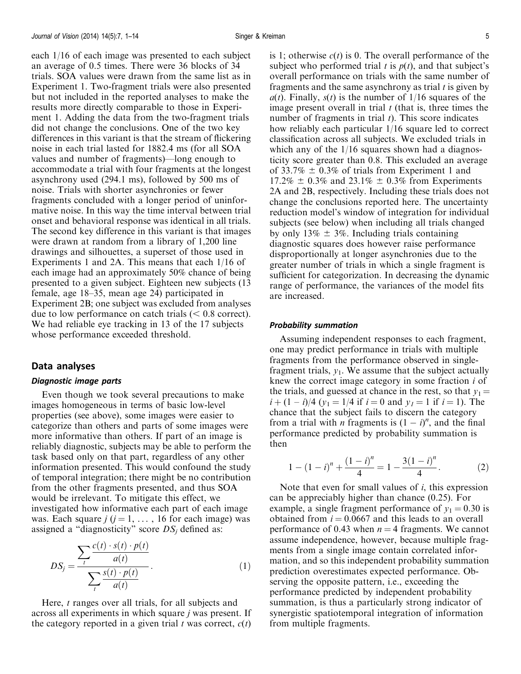each 1/16 of each image was presented to each subject an average of 0.5 times. There were 36 blocks of 34 trials. SOA values were drawn from the same list as in Experiment 1. Two-fragment trials were also presented but not included in the reported analyses to make the results more directly comparable to those in Experiment 1. Adding the data from the two-fragment trials did not change the conclusions. One of the two key differences in this variant is that the stream of flickering noise in each trial lasted for 1882.4 ms (for all SOA values and number of fragments)—long enough to accommodate a trial with four fragments at the longest asynchrony used (294.1 ms), followed by 500 ms of noise. Trials with shorter asynchronies or fewer fragments concluded with a longer period of uninformative noise. In this way the time interval between trial onset and behavioral response was identical in all trials. The second key difference in this variant is that images were drawn at random from a library of 1,200 line drawings and silhouettes, a superset of those used in Experiments 1 and 2A. This means that each 1/16 of each image had an approximately 50% chance of being presented to a given subject. Eighteen new subjects (13 female, age 18–35, mean age 24) participated in Experiment 2B; one subject was excluded from analyses due to low performance on catch trials  $(< 0.8$  correct). We had reliable eye tracking in 13 of the 17 subjects whose performance exceeded threshold.

### Data analyses

#### Diagnostic image parts

Even though we took several precautions to make images homogeneous in terms of basic low-level properties (see above), some images were easier to categorize than others and parts of some images were more informative than others. If part of an image is reliably diagnostic, subjects may be able to perform the task based only on that part, regardless of any other information presented. This would confound the study of temporal integration; there might be no contribution from the other fragments presented, and thus SOA would be irrelevant. To mitigate this effect, we investigated how informative each part of each image was. Each square  $j$  ( $j = 1, \ldots, 16$  for each image) was assigned a "diagnosticity" score  $DS_j$  defined as:

$$
DS_j = \frac{\sum_{t} \frac{c(t) \cdot s(t) \cdot p(t)}{a(t)}}{\sum_{t} \frac{s(t) \cdot p(t)}{a(t)}}.
$$
 (1)

Here, *t* ranges over all trials, for all subjects and across all experiments in which square j was present. If the category reported in a given trial t was correct,  $c(t)$  is 1; otherwise  $c(t)$  is 0. The overall performance of the subject who performed trial t is  $p(t)$ , and that subject's overall performance on trials with the same number of fragments and the same asynchrony as trial  $t$  is given by  $a(t)$ . Finally,  $s(t)$  is the number of 1/16 squares of the image present overall in trial  $t$  (that is, three times the number of fragments in trial  $t$ ). This score indicates how reliably each particular 1/16 square led to correct classification across all subjects. We excluded trials in which any of the  $1/16$  squares shown had a diagnosticity score greater than 0.8. This excluded an average of 33.7%  $\pm$  0.3% of trials from Experiment 1 and  $17.2\% \pm 0.3\%$  and  $23.1\% \pm 0.3\%$  from Experiments 2A and 2B, respectively. Including these trials does not change the conclusions reported here. The uncertainty reduction model's window of integration for individual subjects (see below) when including all trials changed by only 13%  $\pm$  3%. Including trials containing diagnostic squares does however raise performance disproportionally at longer asynchronies due to the greater number of trials in which a single fragment is sufficient for categorization. In decreasing the dynamic range of performance, the variances of the model fits are increased.

#### Probability summation

Assuming independent responses to each fragment, one may predict performance in trials with multiple fragments from the performance observed in singlefragment trials,  $y_1$ . We assume that the subject actually knew the correct image category in some fraction i of the trials, and guessed at chance in the rest, so that  $y_1 =$  $i + (1 - i)/4$   $(y_1 = 1/4$  if  $i = 0$  and  $y_1 = 1$  if  $i = 1$ ). The chance that the subject fails to discern the category from a trial with *n* fragments is  $(1 - i)^n$ , and the final performance predicted by probability summation is then

$$
1 - (1 - i)^n + \frac{(1 - i)^n}{4} = 1 - \frac{3(1 - i)^n}{4}.
$$
 (2)

Note that even for small values of  $i$ , this expression can be appreciably higher than chance (0.25). For example, a single fragment performance of  $y_1 = 0.30$  is obtained from  $i = 0.0667$  and this leads to an overall performance of 0.43 when  $n = 4$  fragments. We cannot assume independence, however, because multiple fragments from a single image contain correlated information, and so this independent probability summation prediction overestimates expected performance. Observing the opposite pattern, i.e., exceeding the performance predicted by independent probability summation, is thus a particularly strong indicator of synergistic spatiotemporal integration of information from multiple fragments.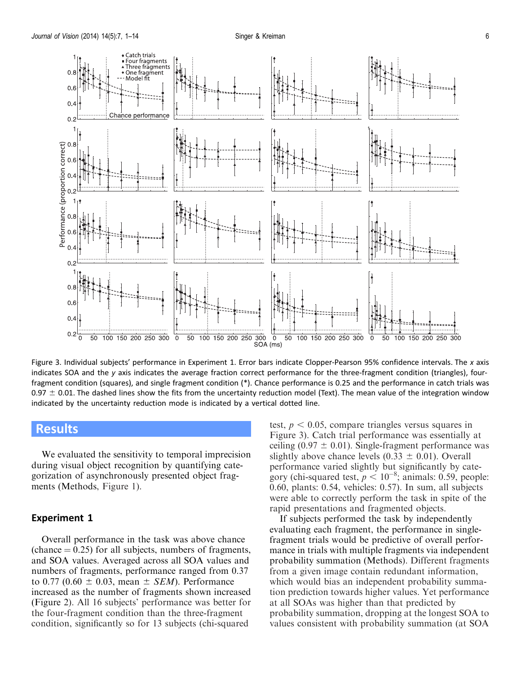<span id="page-5-0"></span>

Figure 3. Individual subjects' performance in Experiment 1. Error bars indicate Clopper-Pearson 95% confidence intervals. The x axis indicates SOA and the y axis indicates the average fraction correct performance for the three-fragment condition (triangles), fourfragment condition (squares), and single fragment condition (\*). Chance performance is 0.25 and the performance in catch trials was 0.97  $\pm$  0.01. The dashed lines show the fits from the uncertainty reduction model (Text). The mean value of the integration window indicated by the uncertainty reduction mode is indicated by a vertical dotted line.

### Results

We evaluated the sensitivity to temporal imprecision during visual object recognition by quantifying categorization of asynchronously presented object fragments [\(Methods,](#page-1-0) [Figure 1](#page-2-0)).

#### Experiment 1

Overall performance in the task was above chance (chance  $= 0.25$ ) for all subjects, numbers of fragments, and SOA values. Averaged across all SOA values and numbers of fragments, performance ranged from 0.37 to 0.77 (0.60  $\pm$  0.03, mean  $\pm$  *SEM*). Performance increased as the number of fragments shown increased ([Figure 2\)](#page-3-0). All 16 subjects' performance was better for the four-fragment condition than the three-fragment condition, significantly so for 13 subjects (chi-squared

test,  $p < 0.05$ , compare triangles versus squares in Figure 3). Catch trial performance was essentially at ceiling (0.97  $\pm$  0.01). Single-fragment performance was slightly above chance levels  $(0.33 \pm 0.01)$ . Overall performance varied slightly but significantly by category (chi-squared test,  $p < 10^{-8}$ ; animals: 0.59, people: 0.60, plants: 0.54, vehicles: 0.57). In sum, all subjects were able to correctly perform the task in spite of the rapid presentations and fragmented objects.

If subjects performed the task by independently evaluating each fragment, the performance in singlefragment trials would be predictive of overall performance in trials with multiple fragments via independent probability summation [\(Methods\)](#page-1-0). Different fragments from a given image contain redundant information, which would bias an independent probability summation prediction towards higher values. Yet performance at all SOAs was higher than that predicted by probability summation, dropping at the longest SOA to values consistent with probability summation (at SOA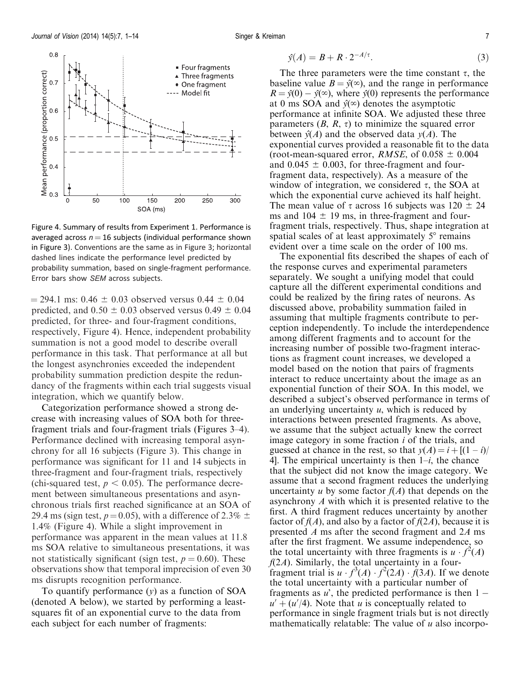<span id="page-6-0"></span>

Figure 4. Summary of results from Experiment 1. Performance is averaged across  $n = 16$  subjects (individual performance shown in [Figure 3\)](#page-5-0). Conventions are the same as in [Figure 3;](#page-5-0) horizontal dashed lines indicate the performance level predicted by probability summation, based on single-fragment performance. Error bars show SEM across subjects.

 $= 294.1$  ms: 0.46  $\pm$  0.03 observed versus 0.44  $\pm$  0.04 predicted, and  $0.50 \pm 0.03$  observed versus  $0.49 \pm 0.04$ predicted, for three- and four-fragment conditions, respectively, Figure 4). Hence, independent probability summation is not a good model to describe overall performance in this task. That performance at all but the longest asynchronies exceeded the independent probability summation prediction despite the redundancy of the fragments within each trial suggests visual integration, which we quantify below.

Categorization performance showed a strong decrease with increasing values of SOA both for threefragment trials and four-fragment trials ([Figures 3–](#page-5-0)4). Performance declined with increasing temporal asynchrony for all 16 subjects [\(Figure 3](#page-5-0)). This change in performance was significant for 11 and 14 subjects in three-fragment and four-fragment trials, respectively (chi-squared test,  $p < 0.05$ ). The performance decrement between simultaneous presentations and asynchronous trials first reached significance at an SOA of 29.4 ms (sign test,  $p = 0.05$ ), with a difference of 2.3%  $\pm$ 1.4% (Figure 4). While a slight improvement in performance was apparent in the mean values at 11.8 ms SOA relative to simultaneous presentations, it was not statistically significant (sign test,  $p = 0.60$ ). These observations show that temporal imprecision of even 30 ms disrupts recognition performance.

To quantify performance  $(y)$  as a function of SOA (denoted A below), we started by performing a leastsquares fit of an exponential curve to the data from each subject for each number of fragments:

$$
\hat{y}(A) = B + R \cdot 2^{-A/\tau}.\tag{3}
$$

The three parameters were the time constant  $\tau$ , the baseline value  $B = \hat{y}(\infty)$ , and the range in performance  $R = \hat{y}(0) - \hat{y}(\infty)$ , where  $\hat{y}(0)$  represents the performance at 0 ms SOA and  $\hat{y}(\infty)$  denotes the asymptotic performance at infinite SOA. We adjusted these three parameters  $(B, R, \tau)$  to minimize the squared error between  $\hat{v}(A)$  and the observed data  $v(A)$ . The exponential curves provided a reasonable fit to the data (root-mean-squared error, *RMSE*, of  $0.058 \pm 0.004$ and  $0.045 \pm 0.003$ , for three-fragment and fourfragment data, respectively). As a measure of the window of integration, we considered  $\tau$ , the SOA at which the exponential curve achieved its half height. The mean value of  $\tau$  across 16 subjects was 120  $\pm$  24 ms and  $104 \pm 19$  ms, in three-fragment and fourfragment trials, respectively. Thus, shape integration at spatial scales of at least approximately  $5^\circ$  remains evident over a time scale on the order of 100 ms.

The exponential fits described the shapes of each of the response curves and experimental parameters separately. We sought a unifying model that could capture all the different experimental conditions and could be realized by the firing rates of neurons. As discussed above, probability summation failed in assuming that multiple fragments contribute to perception independently. To include the interdependence among different fragments and to account for the increasing number of possible two-fragment interactions as fragment count increases, we developed a model based on the notion that pairs of fragments interact to reduce uncertainty about the image as an exponential function of their SOA. In this model, we described a subject's observed performance in terms of an underlying uncertainty  $u$ , which is reduced by interactions between presented fragments. As above, we assume that the subject actually knew the correct image category in some fraction  $i$  of the trials, and guessed at chance in the rest, so that  $y(A) = i + [(1 - i)/$ 4]. The empirical uncertainty is then  $1-i$ , the chance that the subject did not know the image category. We assume that a second fragment reduces the underlying uncertainty u by some factor  $f(A)$  that depends on the asynchrony A with which it is presented relative to the first. A third fragment reduces uncertainty by another factor of  $f(A)$ , and also by a factor of  $f(2A)$ , because it is presented A ms after the second fragment and 2A ms after the first fragment. We assume independence, so the total uncertainty with three fragments is  $u \cdot f^2(A)$  $f(2A)$ . Similarly, the total uncertainty in a fourfragment trial is  $u \cdot f^3(A) \cdot f^2(2A) \cdot f(3A)$ . If we denote the total uncertainty with a particular number of fragments as  $u'$ , the predicted performance is then  $1$  $u' + (u'/4)$ . Note that u is conceptually related to performance in single fragment trials but is not directly mathematically relatable: The value of  $u$  also incorpo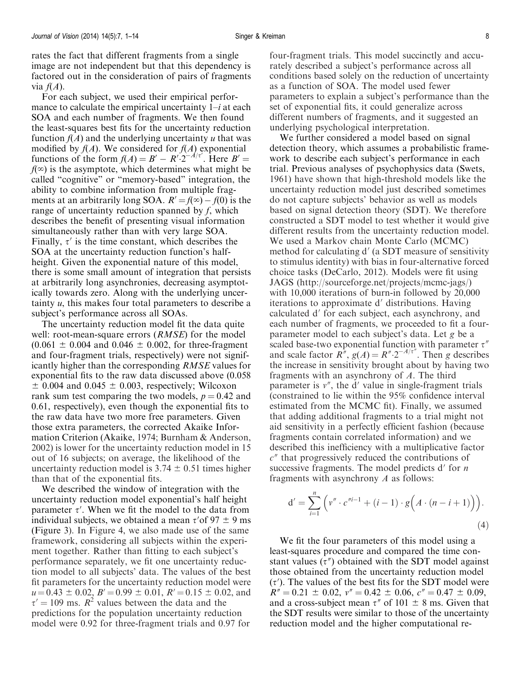rates the fact that different fragments from a single image are not independent but that this dependency is factored out in the consideration of pairs of fragments via  $f(A)$ .

For each subject, we used their empirical performance to calculate the empirical uncertainty  $1-i$  at each SOA and each number of fragments. We then found the least-squares best fits for the uncertainty reduction function  $f(A)$  and the underlying uncertainty u that was modified by  $f(A)$ . We considered for  $f(A)$  exponential functions of the form  $f(A) = B' - R'\cdot 2^{-A/\tau'}$ . Here  $B' =$  $f(x)$  is the asymptote, which determines what might be called ''cognitive'' or ''memory-based'' integration, the ability to combine information from multiple fragments at an arbitrarily long SOA.  $R' = f(\infty) - f(0)$  is the range of uncertainty reduction spanned by f, which describes the benefit of presenting visual information simultaneously rather than with very large SOA. Finally,  $\tau'$  is the time constant, which describes the SOA at the uncertainty reduction function's halfheight. Given the exponential nature of this model, there is some small amount of integration that persists at arbitrarily long asynchronies, decreasing asymptotically towards zero. Along with the underlying uncertainty  $u$ , this makes four total parameters to describe a subject's performance across all SOAs.

The uncertainty reduction model fit the data quite well: root-mean-square errors (*RMSE*) for the model  $(0.061 \pm 0.004$  and  $0.046 \pm 0.002$ , for three-fragment and four-fragment trials, respectively) were not significantly higher than the corresponding RMSE values for exponential fits to the raw data discussed above (0.058  $\pm$  0.004 and 0.045  $\pm$  0.003, respectively; Wilcoxon rank sum test comparing the two models,  $p = 0.42$  and 0.61, respectively), even though the exponential fits to the raw data have two more free parameters. Given those extra parameters, the corrected Akaike Information Criterion (Akaike, [1974;](#page-11-0) Burnham & Anderson, [2002\)](#page-11-0) is lower for the uncertainty reduction model in 15 out of 16 subjects; on average, the likelihood of the uncertainty reduction model is  $3.74 \pm 0.51$  times higher than that of the exponential fits.

We described the window of integration with the uncertainty reduction model exponential's half height parameter  $\tau'$ . When we fit the model to the data from individual subjects, we obtained a mean  $\tau'$  of 97  $\pm$  9 ms ([Figure 3\)](#page-5-0). In [Figure 4,](#page-6-0) we also made use of the same framework, considering all subjects within the experiment together. Rather than fitting to each subject's performance separately, we fit one uncertainty reduction model to all subjects' data. The values of the best fit parameters for the uncertainty reduction model were  $u = 0.43 \pm 0.02$ ,  $B' = 0.99 \pm 0.01$ ,  $R' = 0.15 \pm 0.02$ , and  $\tau' = 109$  ms.  $R^2$  values between the data and the predictions for the population uncertainty reduction model were 0.92 for three-fragment trials and 0.97 for

four-fragment trials. This model succinctly and accurately described a subject's performance across all conditions based solely on the reduction of uncertainty as a function of SOA. The model used fewer parameters to explain a subject's performance than the set of exponential fits, it could generalize across different numbers of fragments, and it suggested an underlying psychological interpretation.

We further considered a model based on signal detection theory, which assumes a probabilistic framework to describe each subject's performance in each trial. Previous analyses of psychophysics data (Swets, [1961\)](#page-13-0) have shown that high-threshold models like the uncertainty reduction model just described sometimes do not capture subjects' behavior as well as models based on signal detection theory (SDT). We therefore constructed a SDT model to test whether it would give different results from the uncertainty reduction model. We used a Markov chain Monte Carlo (MCMC) method for calculating  $d'$  (a SDT measure of sensitivity to stimulus identity) with bias in four-alternative forced choice tasks (DeCarlo, [2012\)](#page-11-0). Models were fit using JAGS ([http://sourceforge.net/projects/mcmc-jags/\)](http://sourceforge.net/projects/mcmc-jags/) with 10,000 iterations of burn-in followed by 20,000 iterations to approximate d' distributions. Having calculated d' for each subject, each asynchrony, and each number of fragments, we proceeded to fit a fourparameter model to each subject's data. Let g be a scaled base-two exponential function with parameter  $\tau''$ and scale factor  $\overline{R}^n$ ,  $g(A) = R^n \cdot 2^{-A/\tau^n}$ . Then g describes the increase in sensitivity brought about by having two fragments with an asynchrony of A. The third parameter is  $v''$ , the d' value in single-fragment trials (constrained to lie within the 95% confidence interval estimated from the MCMC fit). Finally, we assumed that adding additional fragments to a trial might not aid sensitivity in a perfectly efficient fashion (because fragments contain correlated information) and we described this inefficiency with a multiplicative factor  $c<sup>n</sup>$  that progressively reduced the contributions of successive fragments. The model predicts  $d'$  for *n* fragments with asynchrony A as follows:

$$
d' = \sum_{i=1}^{n} \left( v'' \cdot c''^{i-1} + (i-1) \cdot g \left( A \cdot (n-i+1) \right) \right).
$$
\n(4)

We fit the four parameters of this model using a least-squares procedure and compared the time constant values  $(\tau'')$  obtained with the SDT model against those obtained from the uncertainty reduction model  $(\tau')$ . The values of the best fits for the SDT model were  $R'' = 0.21 \pm 0.02$ ,  $v'' = 0.42 \pm 0.06$ ,  $c'' = 0.47 \pm 0.09$ , and a cross-subject mean  $\tau''$  of 101  $\pm$  8 ms. Given that the SDT results were similar to those of the uncertainty reduction model and the higher computational re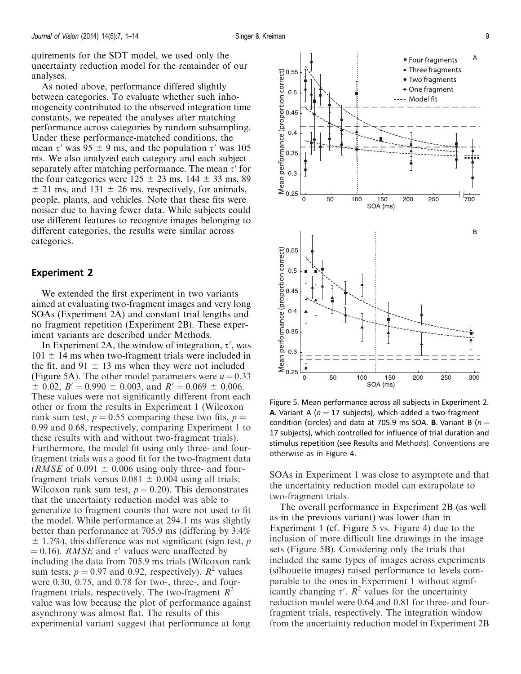<span id="page-8-0"></span>quirements for the SDT model, we used only the uncertainty reduction model for the remainder of our analyses.

As noted above, performance differed slightly between categories. To evaluate whether such inhomogeneity contributed to the observed integration time constants, we repeated the analyses after matching performance across categories by random subsampling. Under these performance-matched conditions, the mean  $\tau'$  was 95  $\pm$  9 ms, and the population  $\tau'$  was 105 ms. We also analyzed each category and each subject separately after matching performance. The mean  $\tau'$  for the four categories were  $125 \pm 23$  ms,  $144 \pm 33$  ms, 89  $\pm$  21 ms, and 131  $\pm$  26 ms, respectively, for animals, people, plants, and vehicles. Note that these fits were noisier due to having fewer data. While subjects could use different features to recognize images belonging to different categories, the results were similar across categories.

#### Experiment 2

We extended the first experiment in two variants aimed at evaluating two-fragment images and very long SOAs (Experiment 2A) and constant trial lengths and no fragment repetition (Experiment 2B). These experiment variants are described under [Methods](#page-1-0).

In Experiment 2A, the window of integration,  $\tau'$ , was  $101 \pm 14$  ms when two-fragment trials were included in the fit, and  $91 \pm 13$  ms when they were not included (Figure 5A). The other model parameters were  $u = 0.33$  $\pm$  0.02,  $B' = 0.990 \pm 0.003$ , and  $R' = 0.069 \pm 0.006$ . These values were not significantly different from each other or from the results in Experiment 1 (Wilcoxon rank sum test,  $p = 0.55$  comparing these two fits,  $p =$ 0.99 and 0.68, respectively, comparing Experiment 1 to these results with and without two-fragment trials). Furthermore, the model fit using only three- and fourfragment trials was a good fit for the two-fragment data (*RMSE* of 0.091  $\pm$  0.006 using only three- and fourfragment trials versus  $0.081 \pm 0.004$  using all trials; Wilcoxon rank sum test,  $p = 0.20$ . This demonstrates that the uncertainty reduction model was able to generalize to fragment counts that were not used to fit the model. While performance at 294.1 ms was slightly better than performance at 705.9 ms (differing by 3.4%  $\pm$  1.7%), this difference was not significant (sign test, p  $= 0.16$ ). *RMSE* and  $\tau'$  values were unaffected by including the data from 705.9 ms trials (Wilcoxon rank sum tests,  $p = 0.97$  and 0.92, respectively).  $R^2$  values were 0.30, 0.75, and 0.78 for two-, three-, and fourfragment trials, respectively. The two-fragment  $R^2$ value was low because the plot of performance against asynchrony was almost flat. The results of this experimental variant suggest that performance at long



Figure 5. Mean performance across all subjects in Experiment 2. **A.** Variant A ( $n = 17$  subjects), which added a two-fragment condition (circles) and data at 705.9 ms SOA. **B**. Variant B ( $n =$ 17 subjects), which controlled for influence of trial duration and stimulus repetition (see [Results](#page-5-0) and [Methods](#page-1-0)). Conventions are otherwise as in [Figure 4](#page-6-0).

SOAs in Experiment 1 was close to asymptote and that the uncertainty reduction model can extrapolate to two-fragment trials.

The overall performance in Experiment 2B (as well as in the previous variant) was lower than in Experiment 1 (cf. Figure 5 vs. [Figure 4](#page-6-0)) due to the inclusion of more difficult line drawings in the image sets (Figure 5B). Considering only the trials that included the same types of images across experiments (silhouette images) raised performance to levels comparable to the ones in Experiment 1 without significantly changing  $\tau'$ .  $\mathbb{R}^2$  values for the uncertainty reduction model were 0.64 and 0.81 for three- and fourfragment trials, respectively. The integration window from the uncertainty reduction model in Experiment 2B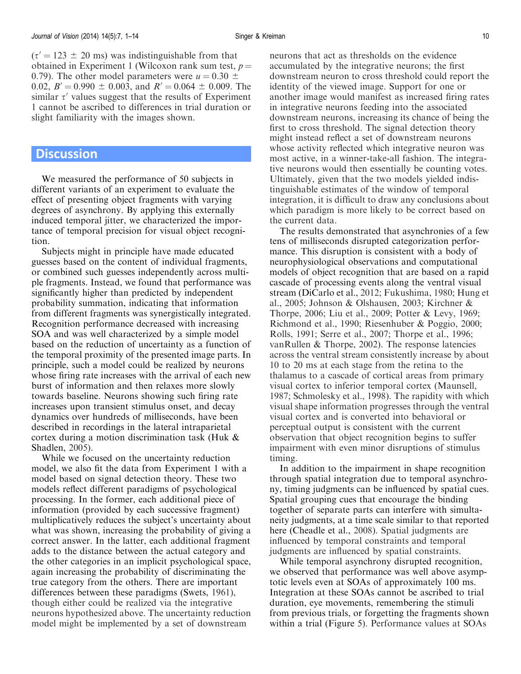$(\tau' = 123 \pm 20 \text{ ms})$  was indistinguishable from that obtained in Experiment 1 (Wilcoxon rank sum test,  $p =$ 0.79). The other model parameters were  $u = 0.30 \pm 0.30$ 0.02,  $B' = 0.990 \pm 0.003$ , and  $R' = 0.064 \pm 0.009$ . The similar  $\tau'$  values suggest that the results of Experiment 1 cannot be ascribed to differences in trial duration or slight familiarity with the images shown.

### **Discussion**

We measured the performance of 50 subjects in different variants of an experiment to evaluate the effect of presenting object fragments with varying degrees of asynchrony. By applying this externally induced temporal jitter, we characterized the importance of temporal precision for visual object recognition.

Subjects might in principle have made educated guesses based on the content of individual fragments, or combined such guesses independently across multiple fragments. Instead, we found that performance was significantly higher than predicted by independent probability summation, indicating that information from different fragments was synergistically integrated. Recognition performance decreased with increasing SOA and was well characterized by a simple model based on the reduction of uncertainty as a function of the temporal proximity of the presented image parts. In principle, such a model could be realized by neurons whose firing rate increases with the arrival of each new burst of information and then relaxes more slowly towards baseline. Neurons showing such firing rate increases upon transient stimulus onset, and decay dynamics over hundreds of milliseconds, have been described in recordings in the lateral intraparietal cortex during a motion discrimination task (Huk & Shadlen, [2005\)](#page-12-0).

While we focused on the uncertainty reduction model, we also fit the data from Experiment 1 with a model based on signal detection theory. These two models reflect different paradigms of psychological processing. In the former, each additional piece of information (provided by each successive fragment) multiplicatively reduces the subject's uncertainty about what was shown, increasing the probability of giving a correct answer. In the latter, each additional fragment adds to the distance between the actual category and the other categories in an implicit psychological space, again increasing the probability of discriminating the true category from the others. There are important differences between these paradigms (Swets, [1961\)](#page-13-0), though either could be realized via the integrative neurons hypothesized above. The uncertainty reduction model might be implemented by a set of downstream

neurons that act as thresholds on the evidence accumulated by the integrative neurons; the first downstream neuron to cross threshold could report the identity of the viewed image. Support for one or another image would manifest as increased firing rates in integrative neurons feeding into the associated downstream neurons, increasing its chance of being the first to cross threshold. The signal detection theory might instead reflect a set of downstream neurons whose activity reflected which integrative neuron was most active, in a winner-take-all fashion. The integrative neurons would then essentially be counting votes. Ultimately, given that the two models yielded indistinguishable estimates of the window of temporal integration, it is difficult to draw any conclusions about which paradigm is more likely to be correct based on the current data.

The results demonstrated that asynchronies of a few tens of milliseconds disrupted categorization performance. This disruption is consistent with a body of neurophysiological observations and computational models of object recognition that are based on a rapid cascade of processing events along the ventral visual stream (DiCarlo et al., [2012;](#page-12-0) Fukushima, [1980;](#page-12-0) Hung et al., [2005;](#page-12-0) Johnson & Olshausen, [2003](#page-12-0); Kirchner & Thorpe, [2006;](#page-12-0) Liu et al., [2009](#page-12-0); Potter & Levy, [1969](#page-12-0); Richmond et al., [1990](#page-12-0); Riesenhuber & Poggio, [2000;](#page-13-0) Rolls, [1991](#page-13-0); Serre et al., [2007](#page-13-0); Thorpe et al., [1996](#page-13-0); vanRullen & Thorpe, [2002\)](#page-13-0). The response latencies across the ventral stream consistently increase by about 10 to 20 ms at each stage from the retina to the thalamus to a cascade of cortical areas from primary visual cortex to inferior temporal cortex (Maunsell, [1987;](#page-12-0) Schmolesky et al., [1998\)](#page-13-0). The rapidity with which visual shape information progresses through the ventral visual cortex and is converted into behavioral or perceptual output is consistent with the current observation that object recognition begins to suffer impairment with even minor disruptions of stimulus timing.

In addition to the impairment in shape recognition through spatial integration due to temporal asynchrony, timing judgments can be influenced by spatial cues. Spatial grouping cues that encourage the binding together of separate parts can interfere with simultaneity judgments, at a time scale similar to that reported here (Cheadle et al., [2008\)](#page-11-0). Spatial judgments are influenced by temporal constraints and temporal judgments are influenced by spatial constraints.

While temporal asynchrony disrupted recognition, we observed that performance was well above asymptotic levels even at SOAs of approximately 100 ms. Integration at these SOAs cannot be ascribed to trial duration, eye movements, remembering the stimuli from previous trials, or forgetting the fragments shown within a trial ([Figure 5\)](#page-8-0). Performance values at SOAs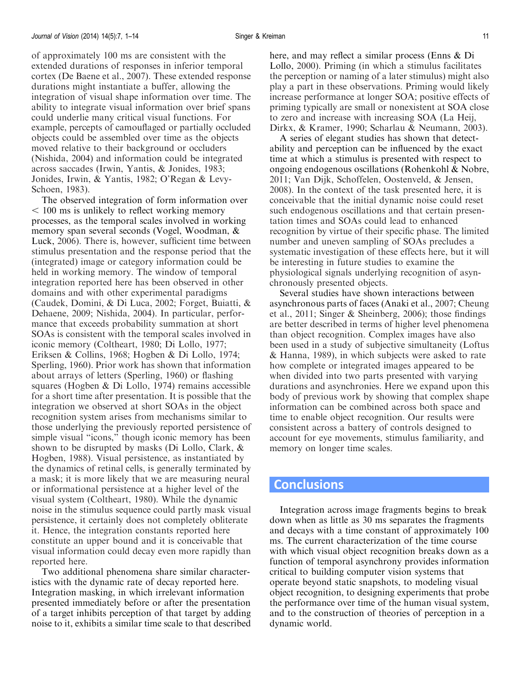of approximately 100 ms are consistent with the extended durations of responses in inferior temporal cortex (De Baene et al., [2007\)](#page-11-0). These extended response durations might instantiate a buffer, allowing the integration of visual shape information over time. The ability to integrate visual information over brief spans could underlie many critical visual functions. For example, percepts of camouflaged or partially occluded objects could be assembled over time as the objects moved relative to their background or occluders (Nishida, [2004\)](#page-12-0) and information could be integrated across saccades (Irwin, Yantis, & Jonides, [1983;](#page-12-0) Jonides, Irwin, & Yantis, [1982;](#page-12-0) O'Regan & Levy-Schoen, [1983](#page-12-0)).

The observed integration of form information over  $<$  100 ms is unlikely to reflect working memory processes, as the temporal scales involved in working memory span several seconds (Vogel, Woodman, & Luck, [2006](#page-13-0)). There is, however, sufficient time between stimulus presentation and the response period that the (integrated) image or category information could be held in working memory. The window of temporal integration reported here has been observed in other domains and with other experimental paradigms (Caudek, Domini, & Di Luca, [2002](#page-11-0); Forget, Buiatti, & Dehaene, [2009](#page-12-0); Nishida, [2004](#page-12-0)). In particular, performance that exceeds probability summation at short SOAs is consistent with the temporal scales involved in iconic memory (Coltheart, [1980](#page-11-0); Di Lollo, [1977](#page-12-0); Eriksen & Collins, [1968;](#page-12-0) Hogben & Di Lollo, [1974](#page-12-0); Sperling, [1960](#page-13-0)). Prior work has shown that information about arrays of letters (Sperling, [1960\)](#page-13-0) or flashing squares (Hogben & Di Lollo, [1974\)](#page-12-0) remains accessible for a short time after presentation. It is possible that the integration we observed at short SOAs in the object recognition system arises from mechanisms similar to those underlying the previously reported persistence of simple visual "icons," though iconic memory has been shown to be disrupted by masks (Di Lollo, Clark, & Hogben, [1988\)](#page-12-0). Visual persistence, as instantiated by the dynamics of retinal cells, is generally terminated by a mask; it is more likely that we are measuring neural or informational persistence at a higher level of the visual system (Coltheart, [1980\)](#page-11-0). While the dynamic noise in the stimulus sequence could partly mask visual persistence, it certainly does not completely obliterate it. Hence, the integration constants reported here constitute an upper bound and it is conceivable that visual information could decay even more rapidly than reported here.

Two additional phenomena share similar characteristics with the dynamic rate of decay reported here. Integration masking, in which irrelevant information presented immediately before or after the presentation of a target inhibits perception of that target by adding noise to it, exhibits a similar time scale to that described here, and may reflect a similar process (Enns & Di Lollo, [2000\)](#page-12-0). Priming (in which a stimulus facilitates the perception or naming of a later stimulus) might also play a part in these observations. Priming would likely increase performance at longer SOA; positive effects of priming typically are small or nonexistent at SOA close to zero and increase with increasing SOA (La Heij, Dirkx, & Kramer, [1990;](#page-12-0) Scharlau & Neumann, [2003\)](#page-13-0).

A series of elegant studies has shown that detectability and perception can be influenced by the exact time at which a stimulus is presented with respect to ongoing endogenous oscillations (Rohenkohl & Nobre, [2011;](#page-13-0) Van Dijk, Schoffelen, Oostenveld, & Jensen, [2008\)](#page-13-0). In the context of the task presented here, it is conceivable that the initial dynamic noise could reset such endogenous oscillations and that certain presentation times and SOAs could lead to enhanced recognition by virtue of their specific phase. The limited number and uneven sampling of SOAs precludes a systematic investigation of these effects here, but it will be interesting in future studies to examine the physiological signals underlying recognition of asynchronously presented objects.

Several studies have shown interactions between asynchronous parts of faces (Anaki et al., [2007](#page-11-0); Cheung et al., [2011;](#page-11-0) Singer & Sheinberg, [2006\)](#page-13-0); those findings are better described in terms of higher level phenomena than object recognition. Complex images have also been used in a study of subjective simultaneity (Loftus & Hanna, [1989\)](#page-12-0), in which subjects were asked to rate how complete or integrated images appeared to be when divided into two parts presented with varying durations and asynchronies. Here we expand upon this body of previous work by showing that complex shape information can be combined across both space and time to enable object recognition. Our results were consistent across a battery of controls designed to account for eye movements, stimulus familiarity, and memory on longer time scales.

### **Conclusions**

Integration across image fragments begins to break down when as little as 30 ms separates the fragments and decays with a time constant of approximately 100 ms. The current characterization of the time course with which visual object recognition breaks down as a function of temporal asynchrony provides information critical to building computer vision systems that operate beyond static snapshots, to modeling visual object recognition, to designing experiments that probe the performance over time of the human visual system, and to the construction of theories of perception in a dynamic world.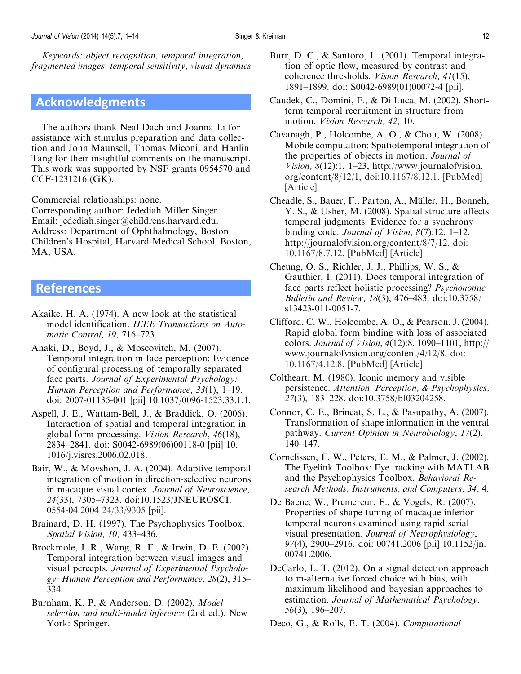<span id="page-11-0"></span>Keywords: object recognition, temporal integration, fragmented images, temporal sensitivity, visual dynamics

### Acknowledgments

The authors thank Neal Dach and Joanna Li for assistance with stimulus preparation and data collection and John Maunsell, Thomas Miconi, and Hanlin Tang for their insightful comments on the manuscript. This work was supported by NSF grants 0954570 and CCF-1231216 (GK).

Commercial relationships: none.

Corresponding author: Jedediah Miller Singer. Email: jedediah.singer@childrens.harvard.edu. Address: Department of Ophthalmology, Boston Children's Hospital, Harvard Medical School, Boston, MA, USA.

### References

- Akaike, H. A. (1974). A new look at the statistical model identification. IEEE Transactions on Automatic Control, 19, 716–723.
- Anaki, D., Boyd, J., & Moscovitch, M. (2007). Temporal integration in face perception: Evidence of configural processing of temporally separated face parts. Journal of Experimental Psychology: Human Perception and Performance, 33(1), 1–19. doi: 2007-01135-001 [pii] 10.1037/0096-1523.33.1.1.
- Aspell, J. E., Wattam-Bell, J., & Braddick, O. (2006). Interaction of spatial and temporal integration in global form processing. Vision Research, 46(18), 2834–2841. doi: S0042-6989(06)00118-0 [pii] 10. 1016/j.visres.2006.02.018.
- Bair, W., & Movshon, J. A. (2004). Adaptive temporal integration of motion in direction-selective neurons in macaque visual cortex. Journal of Neuroscience, 24(33), 7305–7323. doi:10.1523/JNEUROSCI. 0554-04.2004 24/33/9305 [pii].
- Brainard, D. H. (1997). The Psychophysics Toolbox. Spatial Vision, 10, 433–436.
- Brockmole, J. R., Wang, R. F., & Irwin, D. E. (2002). Temporal integration between visual images and visual percepts. Journal of Experimental Psychology: Human Perception and Performance, 28(2), 315– 334.
- Burnham, K. P, & Anderson, D. (2002). Model selection and multi-model inference (2nd ed.). New York: Springer.
- Burr, D. C., & Santoro, L. (2001). Temporal integration of optic flow, measured by contrast and coherence thresholds. Vision Research, 41(15), 1891–1899. doi: S0042-6989(01)00072-4 [pii].
- Caudek, C., Domini, F., & Di Luca, M. (2002). Shortterm temporal recruitment in structure from motion. Vision Research, 42, 10.
- Cavanagh, P., Holcombe, A. O., & Chou, W. (2008). Mobile computation: Spatiotemporal integration of the properties of objects in motion. Journal of Vision,  $8(12)$ :1, 1–23, http://www.journalofvision. org/content/8/12/1, doi:10.1167/8.12.1. [[PubMed\]](http://www.ncbi.nlm.nih.gov/pubmed/18831615) [[Article\]](http://www.journalofvision.org/content/8/12/1.long)
- Cheadle, S., Bauer, F., Parton, A., Müller, H., Bonneh, Y. S., & Usher, M. (2008). Spatial structure affects temporal judgments: Evidence for a synchrony binding code. Journal of Vision, 8(7):12, 1–12, http://journalofvision.org/content/8/7/12, doi: 10.1167/8.7.12. [[PubMed](http://www.ncbi.nlm.nih.gov/pubmed/19146245)] [[Article](http://www.journalofvision.org/content/8/7/12.long)]
- Cheung, O. S., Richler, J. J., Phillips, W. S., & Gauthier, I. (2011). Does temporal integration of face parts reflect holistic processing? Psychonomic Bulletin and Review, 18(3), 476–483. doi:10.3758/ s13423-011-0051-7.
- Clifford, C. W., Holcombe, A. O., & Pearson, J. (2004). Rapid global form binding with loss of associated colors. Journal of Vision,  $4(12):8$ , 1090–1101, http:// www.journalofvision.org/content/4/12/8, doi: 10.1167/4.12.8. [[PubMed](http://www.ncbi.nlm.nih.gov/pubmed/15669913)] [[Article](http://www.journalofvision.org/content/4/12/8.long)]
- Coltheart, M. (1980). Iconic memory and visible persistence. Attention, Perception, & Psychophysics, 27(3), 183–228. doi:10.3758/bf03204258.
- Connor, C. E., Brincat, S. L., & Pasupathy, A. (2007). Transformation of shape information in the ventral pathway. Current Opinion in Neurobiology, 17(2), 140–147.
- Cornelissen, F. W., Peters, E. M., & Palmer, J. (2002). The Eyelink Toolbox: Eye tracking with MATLAB and the Psychophysics Toolbox. Behavioral Research Methods, Instruments, and Computers, 34, 4.
- De Baene, W., Premereur, E., & Vogels, R. (2007). Properties of shape tuning of macaque inferior temporal neurons examined using rapid serial visual presentation. Journal of Neurophysiology, 97(4), 2900–2916. doi: 00741.2006 [pii] 10.1152/jn. 00741.2006.
- DeCarlo, L. T. (2012). On a signal detection approach to m-alternative forced choice with bias, with maximum likelihood and bayesian approaches to estimation. Journal of Mathematical Psychology, 56(3), 196–207.
- Deco, G., & Rolls, E. T. (2004). Computational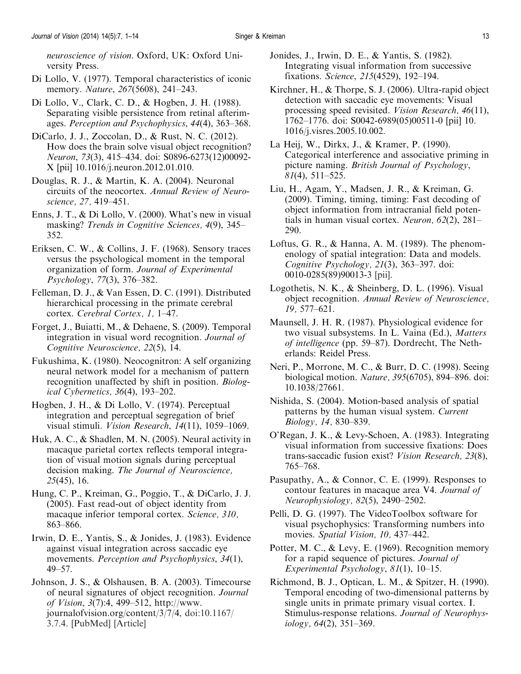<span id="page-12-0"></span>neuroscience of vision. Oxford, UK: Oxford University Press.

- Di Lollo, V. (1977). Temporal characteristics of iconic memory. *Nature*, 267(5608), 241–243.
- Di Lollo, V., Clark, C. D., & Hogben, J. H. (1988). Separating visible persistence from retinal afterimages. Perception and Psychophysics, 44(4), 363–368.
- DiCarlo, J. J., Zoccolan, D., & Rust, N. C. (2012). How does the brain solve visual object recognition? Neuron, 73(3), 415–434. doi: S0896-6273(12)00092- X [pii] 10.1016/j.neuron.2012.01.010.
- Douglas, R. J., & Martin, K. A. (2004). Neuronal circuits of the neocortex. Annual Review of Neuroscience, 27, 419–451.
- Enns, J. T., & Di Lollo, V. (2000). What's new in visual masking? Trends in Cognitive Sciences, 4(9), 345– 352.
- Eriksen, C. W., & Collins, J. F. (1968). Sensory traces versus the psychological moment in the temporal organization of form. Journal of Experimental Psychology, 77(3), 376–382.
- Felleman, D. J., & Van Essen, D. C. (1991). Distributed hierarchical processing in the primate cerebral cortex. Cerebral Cortex, 1, 1–47.
- Forget, J., Buiatti, M., & Dehaene, S. (2009). Temporal integration in visual word recognition. Journal of Cognitive Neuroscience, 22(5), 14.
- Fukushima, K. (1980). Neocognitron: A self organizing neural network model for a mechanism of pattern recognition unaffected by shift in position. Biological Cybernetics, 36(4), 193–202.
- Hogben, J. H., & Di Lollo, V. (1974). Perceptual integration and perceptual segregation of brief visual stimuli. Vision Research, 14(11), 1059–1069.
- Huk, A. C., & Shadlen, M. N. (2005). Neural activity in macaque parietal cortex reflects temporal integration of visual motion signals during perceptual decision making. The Journal of Neuroscience, 25(45), 16.
- Hung, C. P., Kreiman, G., Poggio, T., & DiCarlo, J. J. (2005). Fast read-out of object identity from macaque inferior temporal cortex. Science, 310, 863–866.
- Irwin, D. E., Yantis, S., & Jonides, J. (1983). Evidence against visual integration across saccadic eye movements. *Perception and Psychophysics*, 34(1), 49–57.
- Johnson, J. S., & Olshausen, B. A. (2003). Timecourse of neural signatures of object recognition. Journal of Vision, 3(7):4, 499–512, http://www. journalofvision.org/content/3/7/4, doi:10.1167/ 3.7.4. [[PubMed](http://www.ncbi.nlm.nih.gov/pubmed/14507255)] [[Article\]](http://www.journalofvision.org/content/3/7/4.long)
- Jonides, J., Irwin, D. E., & Yantis, S. (1982). Integrating visual information from successive fixations. Science, 215(4529), 192–194.
- Kirchner, H., & Thorpe, S. J. (2006). Ultra-rapid object detection with saccadic eye movements: Visual processing speed revisited. Vision Research, 46(11), 1762–1776. doi: S0042-6989(05)00511-0 [pii] 10. 1016/j.visres.2005.10.002.
- La Heij, W., Dirkx, J., & Kramer, P. (1990). Categorical interference and associative priming in picture naming. British Journal of Psychology,  $81(4)$ , 511–525.
- Liu, H., Agam, Y., Madsen, J. R., & Kreiman, G. (2009). Timing, timing, timing: Fast decoding of object information from intracranial field potentials in human visual cortex. Neuron, 62(2), 281– 290.
- Loftus, G. R., & Hanna, A. M. (1989). The phenomenology of spatial integration: Data and models. Cognitive Psychology, 21(3), 363–397. doi: 0010-0285(89)90013-3 [pii].
- Logothetis, N. K., & Sheinberg, D. L. (1996). Visual object recognition. Annual Review of Neuroscience, 19, 577–621.
- Maunsell, J. H. R. (1987). Physiological evidence for two visual subsystems. In L. Vaina (Ed.), Matters of intelligence (pp. 59–87). Dordrecht, The Netherlands: Reidel Press.
- Neri, P., Morrone, M. C., & Burr, D. C. (1998). Seeing biological motion. Nature, 395(6705), 894–896. doi: 10.1038/27661.
- Nishida, S. (2004). Motion-based analysis of spatial patterns by the human visual system. Current Biology, 14, 830–839.
- O'Regan, J. K., & Levy-Schoen, A. (1983). Integrating visual information from successive fixations: Does trans-saccadic fusion exist? Vision Research, 23(8), 765–768.
- Pasupathy, A., & Connor, C. E. (1999). Responses to contour features in macaque area V4. Journal of Neurophysiology, 82(5), 2490–2502.
- Pelli, D. G. (1997). The VideoToolbox software for visual psychophysics: Transforming numbers into movies. Spatial Vision, 10, 437–442.
- Potter, M. C., & Levy, E. (1969). Recognition memory for a rapid sequence of pictures. Journal of Experimental Psychology, 81(1), 10–15.
- Richmond, B. J., Optican, L. M., & Spitzer, H. (1990). Temporal encoding of two-dimensional patterns by single units in primate primary visual cortex. I. Stimulus-response relations. Journal of Neurophysiology, 64(2), 351–369.